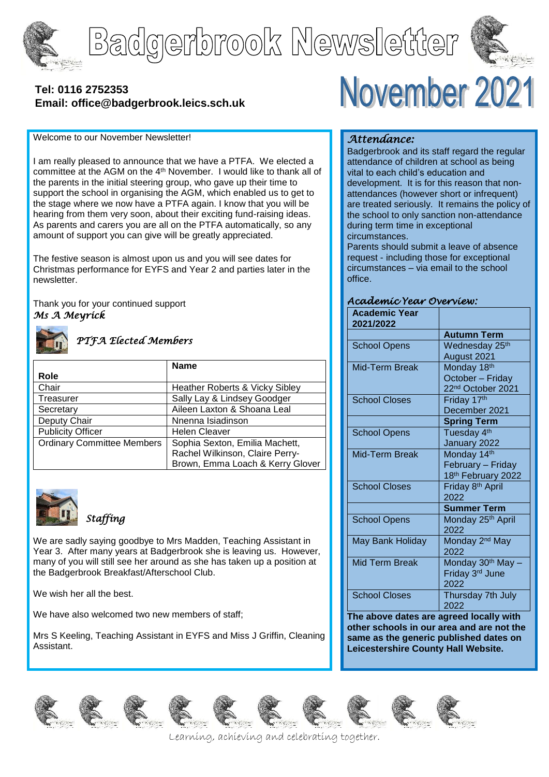

# Badgerbrook Newsletter



## **[Tel: 0116](tel:0116) 2752353 Email: office@badgerbrook.leics.sch.uk**

#### Welcome to our November Newsletter!

I am really pleased to announce that we have a PTFA. We elected a committee at the AGM on the 4th November. I would like to thank all of the parents in the initial steering group, who gave up their time to support the school in organising the AGM, which enabled us to get to the stage where we now have a PTFA again. I know that you will be hearing from them very soon, about their exciting fund-raising ideas. As parents and carers you are all on the PTFA automatically, so any amount of support you can give will be greatly appreciated.

The festive season is almost upon us and you will see dates for Christmas performance for EYFS and Year 2 and parties later in the newsletter.

Thank you for your continued support *Ms A Meyrick*



#### *PTFA Elected Members*

|                                   | <b>Name</b>                      |
|-----------------------------------|----------------------------------|
| Role                              |                                  |
| Chair                             | Heather Roberts & Vicky Sibley   |
| Treasurer                         | Sally Lay & Lindsey Goodger      |
| Secretary                         | Aileen Laxton & Shoana Leal      |
| Deputy Chair                      | Nnenna Isiadinson                |
| <b>Publicity Officer</b>          | <b>Helen Cleaver</b>             |
| <b>Ordinary Committee Members</b> | Sophia Sexton, Emilia Machett,   |
|                                   | Rachel Wilkinson, Claire Perry-  |
|                                   | Brown, Emma Loach & Kerry Glover |



*Staffing* 

We are sadly saying goodbye to Mrs Madden, Teaching Assistant in Year 3. After many years at Badgerbrook she is leaving us. However, many of you will still see her around as she has taken up a position at the Badgerbrook Breakfast/Afterschool Club.

We wish her all the best.

We have also welcomed two new members of staff;

Mrs S Keeling, Teaching Assistant in EYFS and Miss J Griffin, Cleaning Assistant.

## November 2021

### *Attendance:*

Badgerbrook and its staff regard the regular attendance of children at school as being vital to each child's education and development. It is for this reason that nonattendances (however short or infrequent) are treated seriously. It remains the policy of the school to only sanction non-attendance during term time in exceptional circumstances.

Parents should submit a leave of absence request - including those for exceptional circumstances – via email to the school office.

#### *Academic Year Overview:*

| <b>Academic Year</b><br>2021/2022 |                               |
|-----------------------------------|-------------------------------|
|                                   | <b>Autumn Term</b>            |
| <b>School Opens</b>               | Wednesday 25 <sup>th</sup>    |
|                                   | August 2021                   |
| Mid-Term Break                    | Monday 18th                   |
|                                   | October - Friday              |
|                                   | 22 <sup>nd</sup> October 2021 |
| <b>School Closes</b>              | Friday 17th                   |
|                                   | December 2021                 |
|                                   | <b>Spring Term</b>            |
| <b>School Opens</b>               | Tuesday 4 <sup>th</sup>       |
|                                   | January 2022                  |
| Mid-Term Break                    | Monday 14th                   |
|                                   | February - Friday             |
|                                   | 18th February 2022            |
| <b>School Closes</b>              | Friday 8 <sup>th</sup> April  |
|                                   | 2022                          |
|                                   | <b>Summer Term</b>            |
| <b>School Opens</b>               | Monday 25 <sup>th</sup> April |
|                                   | 2022                          |
| May Bank Holiday                  | Monday 2 <sup>nd</sup> May    |
|                                   | 2022                          |
| <b>Mid Term Break</b>             | Monday 30 <sup>th</sup> May - |
|                                   | Friday 3rd June               |
|                                   | 2022                          |
| <b>School Closes</b>              | Thursday 7th July             |
|                                   | 2022                          |

**The above dates are agreed locally with other schools in our area and are not the same as the generic published dates on Leicestershire County Hall Website.**











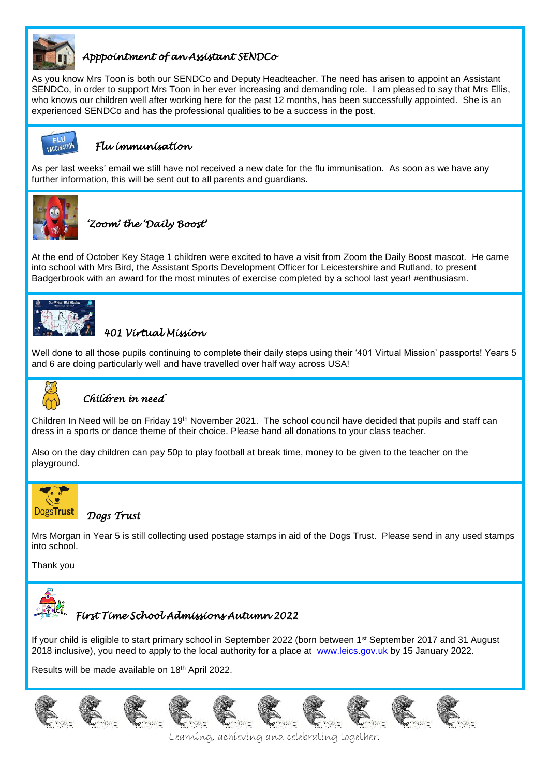

## *Apppointment of an Assistant SENDCo*

As you know Mrs Toon is both our SENDCo and Deputy Headteacher. The need has arisen to appoint an Assistant SENDCo, in order to support Mrs Toon in her ever increasing and demanding role. I am pleased to say that Mrs Ellis, who knows our children well after working here for the past 12 months, has been successfully appointed. She is an experienced SENDCo and has the professional qualities to be a success in the post.



#### *Flu immunisation*

As per last weeks' email we still have not received a new date for the flu immunisation. As soon as we have any further information, this will be sent out to all parents and guardians.



*'Zoom' the 'Daily Boost'* 

At the end of October Key Stage 1 children were excited to have a visit from Zoom the Daily Boost mascot. He came into school with Mrs Bird, the Assistant Sports Development Officer for Leicestershire and Rutland, to present Badgerbrook with an award for the most minutes of exercise completed by a school last year! #enthusiasm.



## *401 Virtual Mission*

Well done to all those pupils continuing to complete their daily steps using their '401 Virtual Mission' passports! Years 5 and 6 are doing particularly well and have travelled over half way across USA!



## *Children in need*

Children In Need will be on Friday 19<sup>th</sup> November 2021. The school council have decided that pupils and staff can dress in a sports or dance theme of their choice. Please hand all donations to your class teacher.

Also on the day children can pay 50p to play football at break time, money to be given to the teacher on the playground.



#### *Dogs Trust*

Mrs Morgan in Year 5 is still collecting used postage stamps in aid of the Dogs Trust. Please send in any used stamps into school.

Thank you



## *First Time School Admissions Autumn 2022*

If your child is eligible to start primary school in September 2022 (born between 1<sup>st</sup> September 2017 and 31 August 2018 inclusive), you need to apply to the local authority for a place at [www.leics.gov.uk](http://www.leics.gov.uk/) by 15 January 2022.

Results will be made available on 18th April 2022.

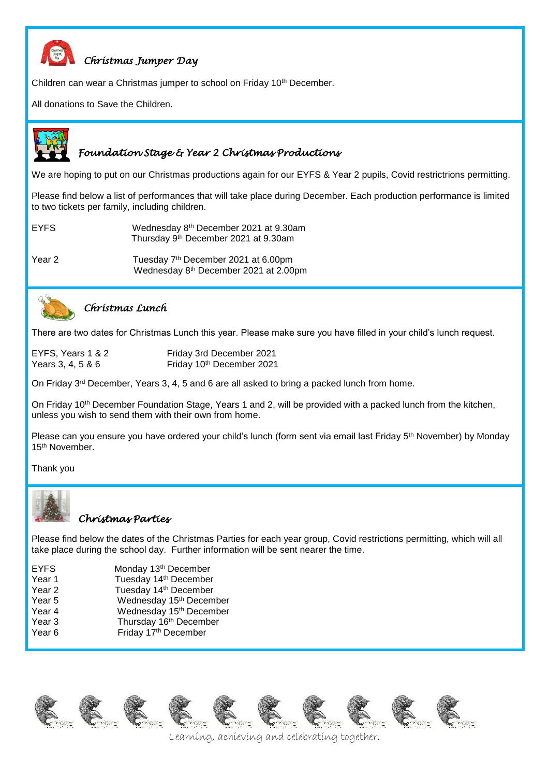

## *Christmas Jumper Day*

Children can wear a Christmas jumper to school on Friday 10<sup>th</sup> December.

All donations to Save the Children.



#### *Foundation Stage & Year 2 Christmas Productions*

We are hoping to put on our Christmas productions again for our EYFS & Year 2 pupils, Covid restrictrions permitting.

Please find below a list of performances that will take place during December. Each production performance is limited to two tickets per family, including children.

EYFS Wednesday 8th December 2021 at 9.30am Thursday 9th December 2021 at 9.30am

Year 2 Tuesday 7<sup>th</sup> December 2021 at 6.00pm Wednesday 8th December 2021 at 2.00pm



#### *Christmas Lunch*

There are two dates for Christmas Lunch this year. Please make sure you have filled in your child's lunch request.

EYFS, Years 1 & 2 Friday 3rd December 2021 Years 3, 4, 5 & 6 Friday 10<sup>th</sup> December 2021

On Friday  $3<sup>rd</sup>$  December, Years 3, 4, 5 and 6 are all asked to bring a packed lunch from home.

On Friday 10<sup>th</sup> December Foundation Stage, Years 1 and 2, will be provided with a packed lunch from the kitchen, unless you wish to send them with their own from home.

Please can you ensure you have ordered your child's lunch (form sent via email last Friday 5<sup>th</sup> November) by Monday 15th November.

Thank you



#### *Christmas Parties*

Please find below the dates of the Christmas Parties for each year group, Covid restrictions permitting, which will all take place during the school day. Further information will be sent nearer the time.

| <b>EYFS</b> | Monday 13th December                |
|-------------|-------------------------------------|
| Year 1      | Tuesday 14th December               |
| Year 2      | Tuesday 14 <sup>th</sup> December   |
| Year 5      | Wednesday 15 <sup>th</sup> December |
| Year 4      | Wednesday 15 <sup>th</sup> December |
| Year 3      | Thursday 16th December              |
| Year 6      | Friday 17th December                |
|             |                                     |

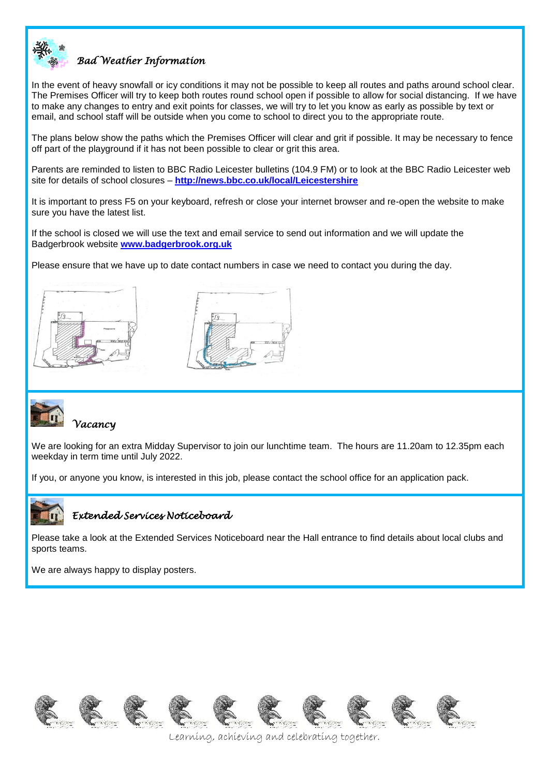

## *Bad Weather Information*

In the event of heavy snowfall or icy conditions it may not be possible to keep all routes and paths around school clear. The Premises Officer will try to keep both routes round school open if possible to allow for social distancing. If we have to make any changes to entry and exit points for classes, we will try to let you know as early as possible by text or email, and school staff will be outside when you come to school to direct you to the appropriate route.

The plans below show the paths which the Premises Officer will clear and grit if possible. It may be necessary to fence off part of the playground if it has not been possible to clear or grit this area.

Parents are reminded to listen to BBC Radio Leicester bulletins (104.9 FM) or to look at the BBC Radio Leicester web site for details of school closures – **<http://news.bbc.co.uk/local/Leicestershire>**

It is important to press F5 on your keyboard, refresh or close your internet browser and re-open the website to make sure you have the latest list.

If the school is closed we will use the text and email service to send out information and we will update the Badgerbrook website **[www.badgerbrook.org.uk](http://www.badgerbrook.org.uk/)** 

Please ensure that we have up to date contact numbers in case we need to contact you during the day.







#### *Vacancy*

We are looking for an extra Midday Supervisor to join our lunchtime team. The hours are 11.20am to 12.35pm each weekday in term time until July 2022.

If you, or anyone you know, is interested in this job, please contact the school office for an application pack.



#### *Extended Services Noticeboard*

Please take a look at the Extended Services Noticeboard near the Hall entrance to find details about local clubs and sports teams.

We are always happy to display posters.

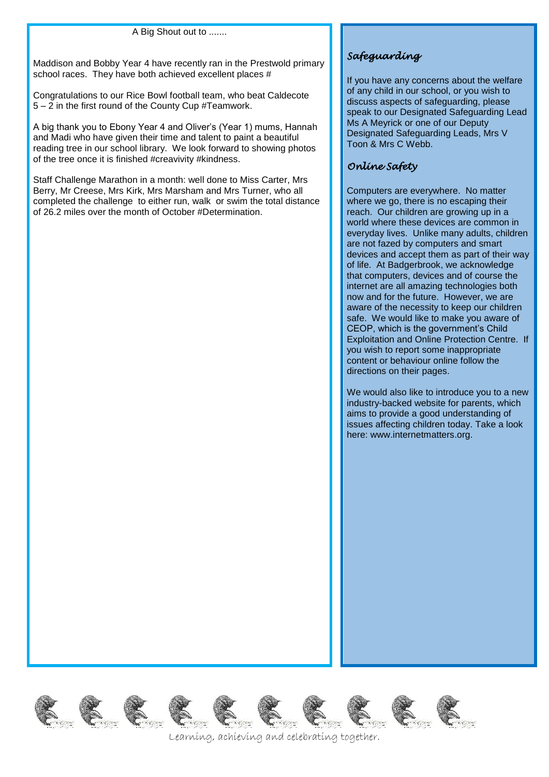#### A Big Shout out to .......

Maddison and Bobby Year 4 have recently ran in the Prestwold primary school races. They have both achieved excellent places #

Congratulations to our Rice Bowl football team, who beat Caldecote 5 – 2 in the first round of the County Cup #Teamwork.

A big thank you to Ebony Year 4 and Oliver's (Year 1) mums, Hannah and Madi who have given their time and talent to paint a beautiful reading tree in our school library. We look forward to showing photos of the tree once it is finished #creavivity #kindness.

Staff Challenge Marathon in a month: well done to Miss Carter, Mrs Berry, Mr Creese, Mrs Kirk, Mrs Marsham and Mrs Turner, who all completed the challenge to either run, walk or swim the total distance of 26.2 miles over the month of October #Determination.

## *Safeguarding*

If you have any concerns about the welfare of any child in our school, or you wish to discuss aspects of safeguarding, please speak to our Designated Safeguarding Lead Ms A Meyrick or one of our Deputy Designated Safeguarding Leads, Mrs V Toon & Mrs C Webb.

#### *Online Safety*

Computers are everywhere. No matter where we go, there is no escaping their reach. Our children are growing up in a world where these devices are common in everyday lives. Unlike many adults, children are not fazed by computers and smart devices and accept them as part of their way of life. At Badgerbrook, we acknowledge that computers, devices and of course the internet are all amazing technologies both now and for the future. However, we are aware of the necessity to keep our children safe. We would like to make you aware of CEOP, which is the government's Child Exploitation and Online Protection Centre. If you wish to report some inappropriate content or behaviour online follow the directions on their pages.

We would also like to introduce you to a new industry-backed website for parents, which aims to provide a good understanding of issues affecting children today. Take a look here: www.internetmatters.org.